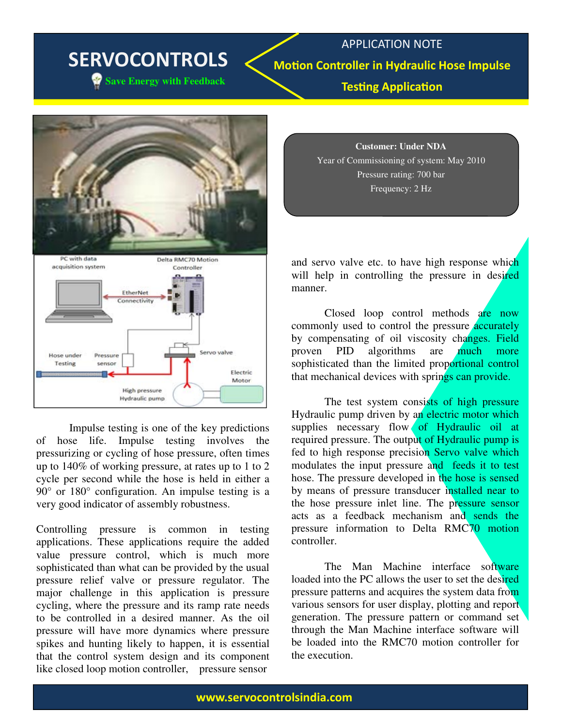## SERVOCONTROLS

**Save Energy with Feedback** 

APPLICATION NOTE **Motion Controller in Hydraulic Hose Impulse Testing Application** 



Impulse testing is one of the key predictions of hose life. Impulse testing involves the pressurizing or cycling of hose pressure, often times up to 140% of working pressure, at rates up to 1 to 2 cycle per second while the hose is held in either a 90° or 180° configuration. An impulse testing is a very good indicator of assembly robustness.

Controlling pressure is common in testing applications. These applications require the added value pressure control, which is much more sophisticated than what can be provided by the usual pressure relief valve or pressure regulator. The major challenge in this application is pressure cycling, where the pressure and its ramp rate needs to be controlled in a desired manner. As the oil pressure will have more dynamics where pressure spikes and hunting likely to happen, it is essential that the control system design and its component like closed loop motion controller, pressure sensor

**Customer: Under NDA** Year of Commissioning of system: May 2010 Pressure rating: 700 bar Frequency: 2 Hz

and servo valve etc. to have high response which will help in controlling the pressure in desired manner.

Closed loop control methods are now commonly used to control the pressure **accurately** by compensating of oil viscosity changes. Field proven PID algorithms are much more sophisticated than the limited proportional control that mechanical devices with springs can provide.

The test system consists of high pressure Hydraulic pump driven by an electric motor which supplies necessary flow of Hydraulic oil at required pressure. The output of Hydraulic pump is fed to high response precision Servo valve which modulates the input pressure and feeds it to test hose. The pressure developed in the hose is sensed by means of pressure transducer installed near to the hose pressure inlet line. The pressure sensor acts as a feedback mechanism and sends the pressure information to Delta RMC70 motion controller.

The Man Machine interface software loaded into the PC allows the user to set the desired pressure patterns and acquires the system data from various sensors for user display, plotting and report generation. The pressure pattern or command set through the Man Machine interface software will be loaded into the RMC70 motion controller for the execution.